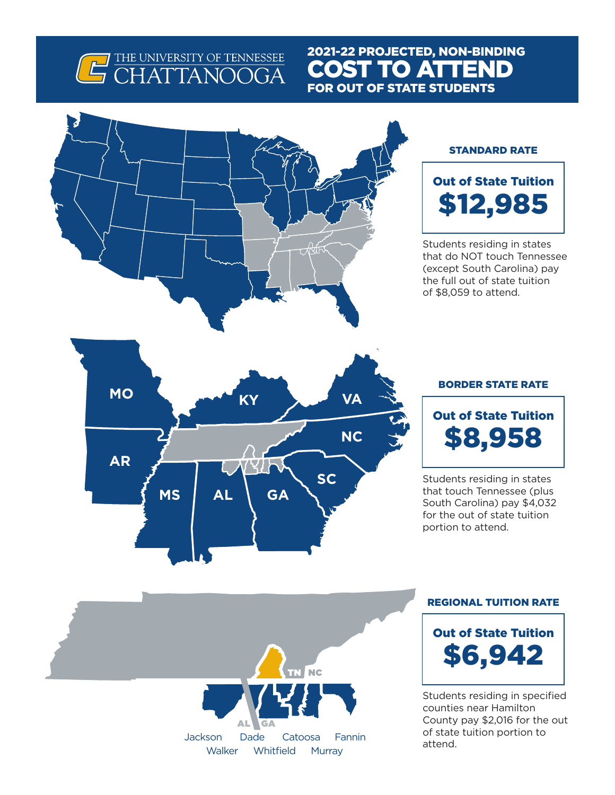# G THE UNIVERSITY OF TENNESSEE

### 2021-22 PROJECTED, NON-BINDING COST TO ATTEND FOR OUT OF STATE STUDENTS



#### STANDARD RATE

## Out of State Tuition \$12,985

Students residing in states that do NOT touch Tennessee (except South Carolina) pay the full out of state tuition of \$8,059 to attend.



#### BORDER STATE RATE

Out of State Tuition \$8,958

Students residing in states that touch Tennessee (plus South Carolina) pay \$4,032 for the out of state tuition portion to attend.

# Jackson Dade Catoosa Fannin Whitfield Murray **Walker** Dade AL GA **NC**

### REGIONAL TUITION RATE



Students residing in specified counties near Hamilton County pay \$2,016 for the out of state tuition portion to attend.